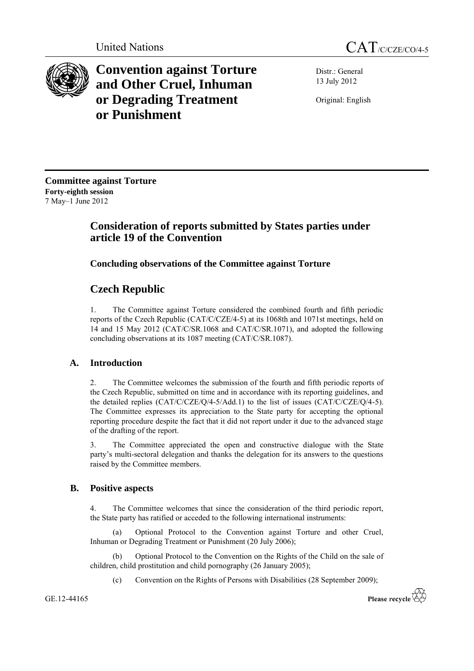



**Convention against Torture and Other Cruel, Inhuman or Degrading Treatment or Punishment**

Distr.: General 13 July 2012

Original: English

**Committee against Torture Forty-eighth session** 7 May–1 June 2012

# **Consideration of reports submitted by States parties under article 19 of the Convention**

# **Concluding observations of the Committee against Torture**

# **Czech Republic**

1. The Committee against Torture considered the combined fourth and fifth periodic reports of the Czech Republic (CAT/C/CZE/4-5) at its 1068th and 1071st meetings, held on 14 and 15 May 2012 (CAT/C/SR.1068 and CAT/C/SR.1071), and adopted the following concluding observations at its 1087 meeting (CAT/C/SR.1087).

# **A. Introduction**

2. The Committee welcomes the submission of the fourth and fifth periodic reports of the Czech Republic, submitted on time and in accordance with its reporting guidelines, and the detailed replies  $(CAT/C/CZE/Q/4-5/Add.1)$  to the list of issues  $(CAT/C/CZE/Q/4-5)$ . The Committee expresses its appreciation to the State party for accepting the optional reporting procedure despite the fact that it did not report under it due to the advanced stage of the drafting of the report.

3. The Committee appreciated the open and constructive dialogue with the State party's multi-sectoral delegation and thanks the delegation for its answers to the questions raised by the Committee members.

# **B. Positive aspects**

4. The Committee welcomes that since the consideration of the third periodic report, the State party has ratified or acceded to the following international instruments:

(a) Optional Protocol to the Convention against Torture and other Cruel, Inhuman or Degrading Treatment or Punishment (20 July 2006);

(b) Optional Protocol to the Convention on the Rights of the Child on the sale of children, child prostitution and child pornography (26 January 2005);

(c) Convention on the Rights of Persons with Disabilities (28 September 2009);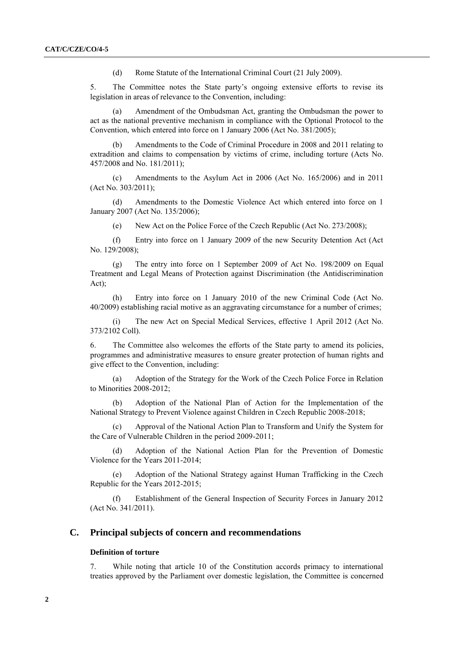(d) Rome Statute of the International Criminal Court (21 July 2009).

5. The Committee notes the State party's ongoing extensive efforts to revise its legislation in areas of relevance to the Convention, including:

(a) Amendment of the Ombudsman Act, granting the Ombudsman the power to act as the national preventive mechanism in compliance with the Optional Protocol to the Convention, which entered into force on 1 January 2006 (Act No. 381/2005);

(b) Amendments to the Code of Criminal Procedure in 2008 and 2011 relating to extradition and claims to compensation by victims of crime, including torture (Acts No. 457/2008 and No. 181/2011);

(c) Amendments to the Asylum Act in 2006 (Act No. 165/2006) and in 2011 (Act No. 303/2011);

(d) Amendments to the Domestic Violence Act which entered into force on 1 January 2007 (Act No. 135/2006);

(e) New Act on the Police Force of the Czech Republic (Act No. 273/2008);

(f) Entry into force on 1 January 2009 of the new Security Detention Act (Act No. 129/2008);

(g) The entry into force on 1 September 2009 of Act No. 198/2009 on Equal Treatment and Legal Means of Protection against Discrimination (the Antidiscrimination Act);

(h) Entry into force on 1 January 2010 of the new Criminal Code (Act No. 40/2009) establishing racial motive as an aggravating circumstance for a number of crimes;

(i) The new Act on Special Medical Services, effective 1 April 2012 (Act No. 373/2102 Coll).

6. The Committee also welcomes the efforts of the State party to amend its policies, programmes and administrative measures to ensure greater protection of human rights and give effect to the Convention, including:

(a) Adoption of the Strategy for the Work of the Czech Police Force in Relation to Minorities 2008-2012;

(b) Adoption of the National Plan of Action for the Implementation of the National Strategy to Prevent Violence against Children in Czech Republic 2008-2018;

(c) Approval of the National Action Plan to Transform and Unify the System for the Care of Vulnerable Children in the period 2009-2011;

(d) Adoption of the National Action Plan for the Prevention of Domestic Violence for the Years 2011-2014;

(e) Adoption of the National Strategy against Human Trafficking in the Czech Republic for the Years 2012-2015;

(f) Establishment of the General Inspection of Security Forces in January 2012 (Act No. 341/2011).

# **C. Principal subjects of concern and recommendations**

# **Definition of torture**

7. While noting that article 10 of the Constitution accords primacy to international treaties approved by the Parliament over domestic legislation, the Committee is concerned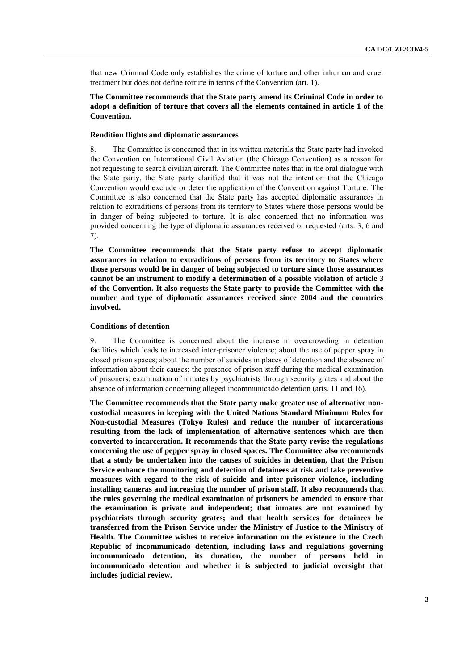that new Criminal Code only establishes the crime of torture and other inhuman and cruel treatment but does not define torture in terms of the Convention (art. 1).

# **The Committee recommends that the State party amend its Criminal Code in order to adopt a definition of torture that covers all the elements contained in article 1 of the Convention.**

# **Rendition flights and diplomatic assurances**

8. The Committee is concerned that in its written materials the State party had invoked the Convention on International Civil Aviation (the Chicago Convention) as a reason for not requesting to search civilian aircraft. The Committee notes that in the oral dialogue with the State party, the State party clarified that it was not the intention that the Chicago Convention would exclude or deter the application of the Convention against Torture. The Committee is also concerned that the State party has accepted diplomatic assurances in relation to extraditions of persons from its territory to States where those persons would be in danger of being subjected to torture. It is also concerned that no information was provided concerning the type of diplomatic assurances received or requested (arts. 3, 6 and 7).

**The Committee recommends that the State party refuse to accept diplomatic assurances in relation to extraditions of persons from its territory to States where those persons would be in danger of being subjected to torture since those assurances cannot be an instrument to modify a determination of a possible violation of article 3 of the Convention. It also requests the State party to provide the Committee with the number and type of diplomatic assurances received since 2004 and the countries involved.**

#### **Conditions of detention**

9. The Committee is concerned about the increase in overcrowding in detention facilities which leads to increased inter-prisoner violence; about the use of pepper spray in closed prison spaces; about the number of suicides in places of detention and the absence of information about their causes; the presence of prison staff during the medical examination of prisoners; examination of inmates by psychiatrists through security grates and about the absence of information concerning alleged incommunicado detention (arts. 11 and 16).

**The Committee recommends that the State party make greater use of alternative noncustodial measures in keeping with the United Nations Standard Minimum Rules for Non-custodial Measures (Tokyo Rules) and reduce the number of incarcerations resulting from the lack of implementation of alternative sentences which are then converted to incarceration. It recommends that the State party revise the regulations concerning the use of pepper spray in closed spaces. The Committee also recommends that a study be undertaken into the causes of suicides in detention, that the Prison Service enhance the monitoring and detection of detainees at risk and take preventive measures with regard to the risk of suicide and inter-prisoner violence, including installing cameras and increasing the number of prison staff. It also recommends that the rules governing the medical examination of prisoners be amended to ensure that the examination is private and independent; that inmates are not examined by psychiatrists through security grates; and that health services for detainees be transferred from the Prison Service under the Ministry of Justice to the Ministry of Health. The Committee wishes to receive information on the existence in the Czech Republic of incommunicado detention, including laws and regulations governing incommunicado detention, its duration, the number of persons held in incommunicado detention and whether it is subjected to judicial oversight that includes judicial review.**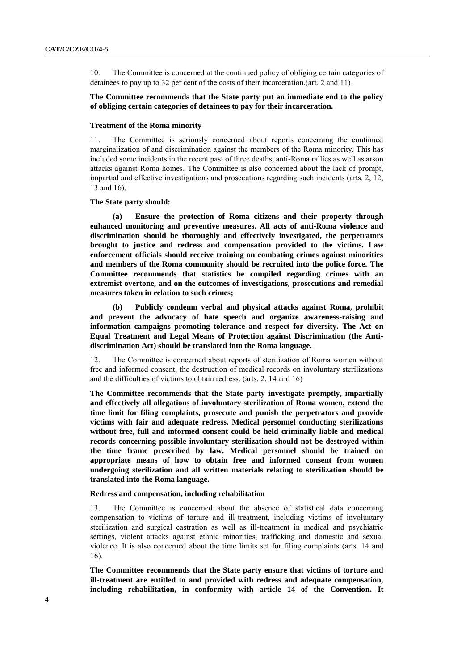10. The Committee is concerned at the continued policy of obliging certain categories of detainees to pay up to 32 per cent of the costs of their incarceration.(art. 2 and 11).

# **The Committee recommends that the State party put an immediate end to the policy of obliging certain categories of detainees to pay for their incarceration.**

## **Treatment of the Roma minority**

11. The Committee is seriously concerned about reports concerning the continued marginalization of and discrimination against the members of the Roma minority. This has included some incidents in the recent past of three deaths, anti-Roma rallies as well as arson attacks against Roma homes. The Committee is also concerned about the lack of prompt, impartial and effective investigations and prosecutions regarding such incidents (arts. 2, 12, 13 and 16).

#### **The State party should:**

**(a) Ensure the protection of Roma citizens and their property through enhanced monitoring and preventive measures. All acts of anti-Roma violence and discrimination should be thoroughly and effectively investigated, the perpetrators brought to justice and redress and compensation provided to the victims. Law enforcement officials should receive training on combating crimes against minorities and members of the Roma community should be recruited into the police force. The Committee recommends that statistics be compiled regarding crimes with an extremist overtone, and on the outcomes of investigations, prosecutions and remedial measures taken in relation to such crimes;**

**(b) Publicly condemn verbal and physical attacks against Roma, prohibit and prevent the advocacy of hate speech and organize awareness-raising and information campaigns promoting tolerance and respect for diversity. The Act on Equal Treatment and Legal Means of Protection against Discrimination (the Antidiscrimination Act) should be translated into the Roma language.**

12. The Committee is concerned about reports of sterilization of Roma women without free and informed consent, the destruction of medical records on involuntary sterilizations and the difficulties of victims to obtain redress. (arts. 2, 14 and 16)

The Committee recommends that the State party investigate promptly, impartially **and effectively all allegations of involuntary sterilization of Roma women, extend the time limit for filing complaints, prosecute and punish the perpetrators and provide victims with fair and adequate redress. Medical personnel conducting sterilizations without free, full and informed consent could be held criminally liable and medical records concerning possible involuntary sterilization should not be destroyed within the time frame prescribed by law. Medical personnel should be trained on appropriate means of how to obtain free and informed consent from women undergoing sterilization and all written materials relating to sterilization should be translated into the Roma language.**

# **Redress and compensation, including rehabilitation**

13. The Committee is concerned about the absence of statistical data concerning compensation to victims of torture and ill-treatment, including victims of involuntary sterilization and surgical castration as well as ill-treatment in medical and psychiatric settings, violent attacks against ethnic minorities, trafficking and domestic and sexual violence. It is also concerned about the time limits set for filing complaints (arts. 14 and 16).

**The Committee recommends that the State party ensure that victims of torture and ill-treatment are entitled to and provided with redress and adequate compensation, including rehabilitation, in conformity with article 14 of the Convention. It**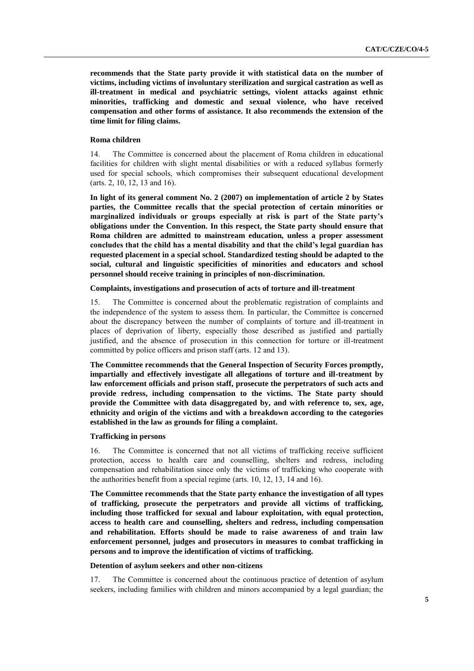**recommends that the State party provide it with statistical data on the number of victims, including victims of involuntary sterilization and surgical castration as well as ill-treatment in medical and psychiatric settings, violent attacks against ethnic minorities, trafficking and domestic and sexual violence, who have received compensation and other forms of assistance. It also recommends the extension of the time limit for filing claims.**

# **Roma children**

14. The Committee is concerned about the placement of Roma children in educational facilities for children with slight mental disabilities or with a reduced syllabus formerly used for special schools, which compromises their subsequent educational development (arts. 2, 10, 12, 13 and 16).

**In light of its general comment No. 2 (2007) on implementation of article 2 by States parties, the Committee recalls that the special protection of certain minorities or marginalized individuals or groups especially at risk is part of the State party's obligations under the Convention. In this respect, the State party should ensure that Roma children are admitted to mainstream education, unless a proper assessment concludes that the child has a mental disability and that the child's legal guardian has requested placement in a special school. Standardized testing should be adapted to the social, cultural and linguistic specificities of minorities and educators and school personnel should receive training in principles of non-discrimination.**

# **Complaints, investigations and prosecution of acts of torture and ill-treatment**

15. The Committee is concerned about the problematic registration of complaints and the independence of the system to assess them. In particular, the Committee is concerned about the discrepancy between the number of complaints of torture and ill-treatment in places of deprivation of liberty, especially those described as justified and partially justified, and the absence of prosecution in this connection for torture or ill-treatment committed by police officers and prison staff (arts. 12 and 13).

**The Committee recommends that the General Inspection of Security Forces promptly, impartially and effectively investigate all allegations of torture and ill-treatment by law enforcement officials and prison staff, prosecute the perpetrators of such acts and provide redress, including compensation to the victims. The State party should provide the Committee with data disaggregated by, and with reference to, sex, age, ethnicity and origin of the victims and with a breakdown according to the categories established in the law as grounds for filing a complaint.**

# **Trafficking in persons**

16. The Committee is concerned that not all victims of trafficking receive sufficient protection, access to health care and counselling, shelters and redress, including compensation and rehabilitation since only the victims of trafficking who cooperate with the authorities benefit from a special regime (arts. 10, 12, 13, 14 and 16).

**The Committee recommends that the State party enhance the investigation of all types of trafficking, prosecute the perpetrators and provide all victims of trafficking, including those trafficked for sexual and labour exploitation, with equal protection, access to health care and counselling, shelters and redress, including compensation and rehabilitation. Efforts should be made to raise awareness of and train law enforcement personnel, judges and prosecutors in measures to combat trafficking in persons and to improve the identification of victims of trafficking.**

#### **Detention of asylum seekers and other non-citizens**

17. The Committee is concerned about the continuous practice of detention of asylum seekers, including families with children and minors accompanied by a legal guardian; the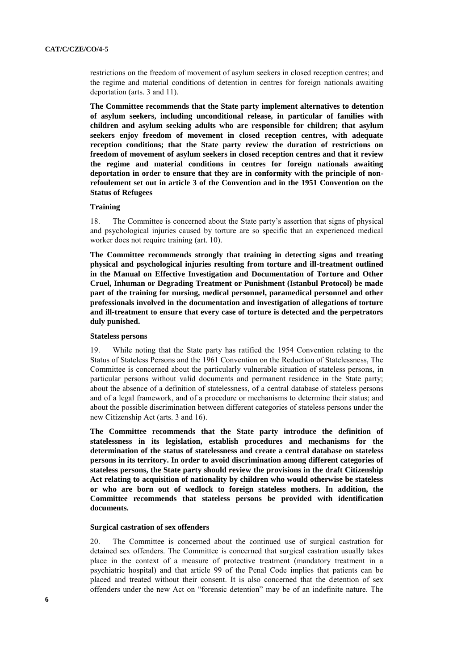restrictions on the freedom of movement of asylum seekers in closed reception centres; and the regime and material conditions of detention in centres for foreign nationals awaiting deportation (arts. 3 and 11).

**The Committee recommends that the State party implement alternatives to detention of asylum seekers, including unconditional release, in particular of families with children and asylum seeking adults who are responsible for children; that asylum seekers enjoy freedom of movement in closed reception centres, with adequate reception conditions; that the State party review the duration of restrictions on freedom of movement of asylum seekers in closed reception centres and that it review the regime and material conditions in centres for foreign nationals awaiting deportation in order to ensure that they are in conformity with the principle of nonrefoulement set out in article 3 of the Convention and in the 1951 Convention on the Status of Refugees**

## **Training**

18. The Committee is concerned about the State party's assertion that signs of physical and psychological injuries caused by torture are so specific that an experienced medical worker does not require training (art. 10).

**The Committee recommends strongly that training in detecting signs and treating physical and psychological injuries resulting from torture and ill-treatment outlined in the Manual on Effective Investigation and Documentation of Torture and Other Cruel, Inhuman or Degrading Treatment or Punishment (Istanbul Protocol) be made part of the training for nursing, medical personnel, paramedical personnel and other professionals involved in the documentation and investigation of allegations of torture and ill-treatment to ensure that every case of torture is detected and the perpetrators duly punished.**

## **Stateless persons**

19. While noting that the State party has ratified the 1954 Convention relating to the Status of Stateless Persons and the 1961 Convention on the Reduction of Statelessness, The Committee is concerned about the particularly vulnerable situation of stateless persons, in particular persons without valid documents and permanent residence in the State party; about the absence of a definition of statelessness, of a central database of stateless persons and of a legal framework, and of a procedure or mechanisms to determine their status; and about the possible discrimination between different categories of stateless persons under the new Citizenship Act (arts. 3 and 16).

**The Committee recommends that the State party introduce the definition of statelessness in its legislation, establish procedures and mechanisms for the determination of the status of statelessness and create a central database on stateless persons in its territory. In order to avoid discrimination among different categories of stateless persons, the State party should review the provisions in the draft Citizenship Act relating to acquisition of nationality by children who would otherwise be stateless or who are born out of wedlock to foreign stateless mothers. In addition, the Committee recommends that stateless persons be provided with identification documents.**

#### **Surgical castration of sex offenders**

20. The Committee is concerned about the continued use of surgical castration for detained sex offenders. The Committee is concerned that surgical castration usually takes place in the context of a measure of protective treatment (mandatory treatment in a psychiatric hospital) and that article 99 of the Penal Code implies that patients can be placed and treated without their consent. It is also concerned that the detention of sex offenders under the new Act on "forensic detention" may be of an indefinite nature. The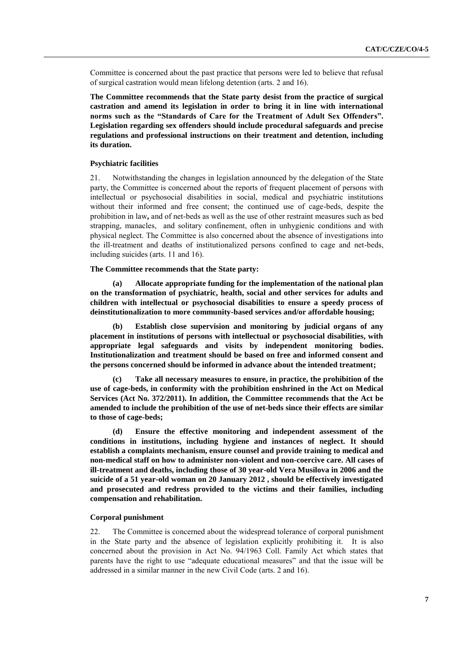Committee is concerned about the past practice that persons were led to believe that refusal of surgical castration would mean lifelong detention (arts. 2 and 16).

**The Committee recommends that the State party desist from the practice of surgical castration and amend its legislation in order to bring it in line with international norms such as the "Standards of Care for the Treatment of Adult Sex Offenders". Legislation regarding sex offenders should include procedural safeguards and precise regulations and professional instructions on their treatment and detention, including its duration.**

# **Psychiatric facilities**

21. Notwithstanding the changes in legislation announced by the delegation of the State party, the Committee is concerned about the reports of frequent placement of persons with intellectual or psychosocial disabilities in social, medical and psychiatric institutions without their informed and free consent; the continued use of cage-beds, despite the prohibition in law**,** and of net-beds as well as the use of other restraint measures such as bed strapping, manacles, and solitary confinement, often in unhygienic conditions and with physical neglect. The Committee is also concerned about the absence of investigations into the ill-treatment and deaths of institutionalized persons confined to cage and net-beds, including suicides (arts. 11 and 16).

### **The Committee recommends that the State party:**

**(a) Allocate appropriate funding for the implementation of the national plan on the transformation of psychiatric, health, social and other services for adults and children with intellectual or psychosocial disabilities to ensure a speedy process of deinstitutionalization to more community-based services and/or affordable housing;**

**(b) Establish close supervision and monitoring by judicial organs of any placement in institutions of persons with intellectual or psychosocial disabilities, with appropriate legal safeguards and visits by independent monitoring bodies. Institutionalization and treatment should be based on free and informed consent and the persons concerned should be informed in advance about the intended treatment;**

**(c) Take all necessary measures to ensure, in practice, the prohibition of the use of cage-beds, in conformity with the prohibition enshrined in the Act on Medical Services (Act No. 372/2011). In addition, the Committee recommends that the Act be amended to include the prohibition of the use of net-beds since their effects are similar to those of cage-beds;**

**(d) Ensure the effective monitoring and independent assessment of the conditions in institutions, including hygiene and instances of neglect. It should establish a complaints mechanism, ensure counsel and provide training to medical and non-medical staff on how to administer non-violent and non-coercive care. All cases of ill-treatment and deaths, including those of 30 year-old Vera Musilova in 2006 and the suicide of a 51 year-old woman on 20 January 2012 , should be effectively investigated and prosecuted and redress provided to the victims and their families, including compensation and rehabilitation.**

#### **Corporal punishment**

22. The Committee is concerned about the widespread tolerance of corporal punishment in the State party and the absence of legislation explicitly prohibiting it. It is also concerned about the provision in Act No. 94/1963 Coll. Family Act which states that parents have the right to use "adequate educational measures" and that the issue will be addressed in a similar manner in the new Civil Code (arts. 2 and 16).